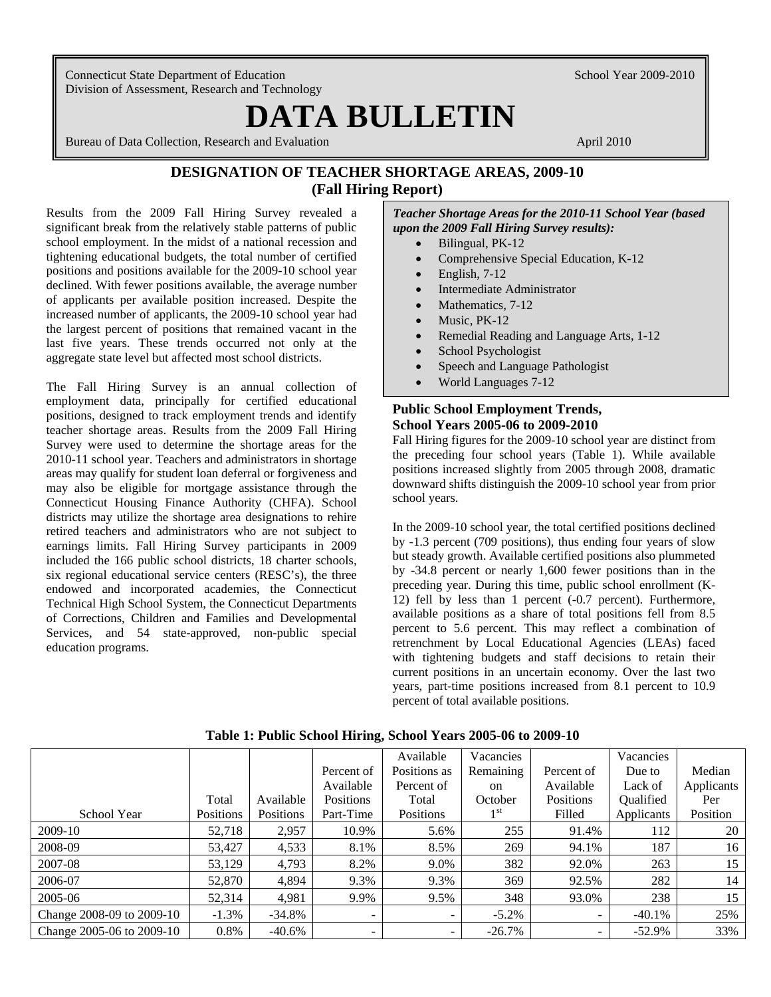Connecticut State Department of Education School Year 2009-2010 Division of Assessment, Research and Technology

# **DATA BULLETIN**

Bureau of Data Collection, Research and Evaluation April 2010 April 2010

# **DESIGNATION OF TEACHER SHORTAGE AREAS, 2009-10 (Fall Hiring Report)**

Results from the 2009 Fall Hiring Survey revealed a significant break from the relatively stable patterns of public school employment. In the midst of a national recession and tightening educational budgets, the total number of certified positions and positions available for the 2009-10 school year declined. With fewer positions available, the average number of applicants per available position increased. Despite the increased number of applicants, the 2009-10 school year had the largest percent of positions that remained vacant in the last five years. These trends occurred not only at the aggregate state level but affected most school districts.

The Fall Hiring Survey is an annual collection of employment data, principally for certified educational positions, designed to track employment trends and identify teacher shortage areas. Results from the 2009 Fall Hiring Survey were used to determine the shortage areas for the 2010-11 school year. Teachers and administrators in shortage areas may qualify for student loan deferral or forgiveness and may also be eligible for mortgage assistance through the Connecticut Housing Finance Authority (CHFA). School districts may utilize the shortage area designations to rehire retired teachers and administrators who are not subject to earnings limits. Fall Hiring Survey participants in 2009 included the 166 public school districts, 18 charter schools, six regional educational service centers (RESC's), the three endowed and incorporated academies, the Connecticut Technical High School System, the Connecticut Departments of Corrections, Children and Families and Developmental Services, and 54 state-approved, non-public special education programs.

*Teacher Shortage Areas for the 2010-11 School Year (based upon the 2009 Fall Hiring Survey results):* 

- Bilingual, PK-12
- Comprehensive Special Education, K-12
- $\bullet$  English, 7-12
- Intermediate Administrator
- Mathematics, 7-12
- Music, PK-12
- Remedial Reading and Language Arts, 1-12
- School Psychologist
- Speech and Language Pathologist
- World Languages 7-12

## **Public School Employment Trends, School Years 2005-06 to 2009-2010**

Fall Hiring figures for the 2009-10 school year are distinct from the preceding four school years (Table 1). While available positions increased slightly from 2005 through 2008, dramatic downward shifts distinguish the 2009-10 school year from prior school years.

In the 2009-10 school year, the total certified positions declined by -1.3 percent (709 positions), thus ending four years of slow but steady growth. Available certified positions also plummeted by -34.8 percent or nearly 1,600 fewer positions than in the preceding year. During this time, public school enrollment (K-12) fell by less than 1 percent (-0.7 percent). Furthermore, available positions as a share of total positions fell from 8.5 percent to 5.6 percent. This may reflect a combination of retrenchment by Local Educational Agencies (LEAs) faced with tightening budgets and staff decisions to retain their current positions in an uncertain economy. Over the last two years, part-time positions increased from 8.1 percent to 10.9 percent of total available positions.

|                           |           |                  |                          | Available    | Vacancies       |                          | Vacancies  |            |
|---------------------------|-----------|------------------|--------------------------|--------------|-----------------|--------------------------|------------|------------|
|                           |           |                  | Percent of               | Positions as | Remaining       | Percent of               | Due to     | Median     |
|                           |           |                  | Available                | Percent of   | <sub>on</sub>   | Available                | Lack of    | Applicants |
|                           | Total     | Available        | <b>Positions</b>         | Total        | October         | Positions                | Qualified  | Per        |
| School Year               | Positions | <b>Positions</b> | Part-Time                | Positions    | 1 <sup>st</sup> | Filled                   | Applicants | Position   |
| 2009-10                   | 52,718    | 2,957            | 10.9%                    | 5.6%         | 255             | 91.4%                    | 112        | 20         |
| 2008-09                   | 53,427    | 4,533            | 8.1%                     | 8.5%         | 269             | 94.1%                    | 187        | 16         |
| 2007-08                   | 53,129    | 4,793            | 8.2%                     | 9.0%         | 382             | 92.0%                    | 263        | 15         |
| 2006-07                   | 52,870    | 4,894            | 9.3%                     | 9.3%         | 369             | 92.5%                    | 282        | 14         |
| 2005-06                   | 52,314    | 4,981            | 9.9%                     | 9.5%         | 348             | 93.0%                    | 238        | 15         |
| Change 2008-09 to 2009-10 | $-1.3%$   | $-34.8\%$        | $\overline{\phantom{0}}$ | ۰.           | $-5.2\%$        | $\overline{\phantom{0}}$ | $-40.1\%$  | 25%        |
| Change 2005-06 to 2009-10 | 0.8%      | $-40.6\%$        | -                        | -            | $-26.7\%$       | -                        | $-52.9\%$  | 33%        |

**Table 1: Public School Hiring, School Years 2005-06 to 2009-10**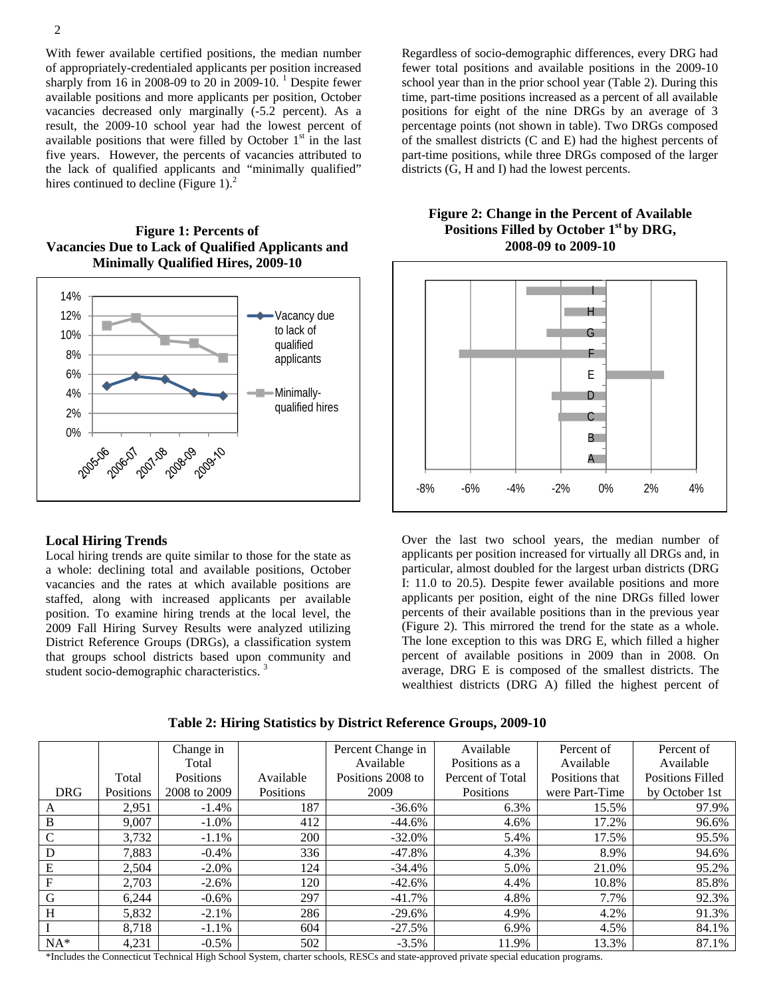vacancies decreased only marginally (-5.2 percent). As a With fewer available certified positions, the median number of appropriately-credentialed applicants per position increased sharply from 16 in 2008-09 to 20 in 2009-10. <sup>1</sup> Despite fewer available positions and more applicants per position, October result, the 2009-10 school year had the lowest percent of available positions that were filled by October  $1<sup>st</sup>$  in the last five years. However, the percents of vacancies attributed to the lack of qualified applicants and "minimally qualified" hires continued to decline (Figure 1). $<sup>2</sup>$ </sup>

**Figure 1: Percents of Vacancies Due to Lack of Qualified Applicants and Minimally Qualified Hires, 2009-10** 



#### **Local Hiring Trends**

Local hiring trends are quite similar to those for the state as a whole: declining total and available positions, October vacancies and the rates at which available positions are staffed, along with increased applicants per available position. To examine hiring trends at the local level, the 2009 Fall Hiring Survey Results were analyzed utilizing District Reference Groups (DRGs), a classification system that groups school districts based upon community and student socio-demographic characteristics.<sup>3</sup>

Regardless of socio-demographic differences, every DRG had fewer total positions and available positions in the 2009-10 school year than in the prior school year (Table 2). During this time, part-time positions increased as a percent of all available positions for eight of the nine DRGs by an average of 3 percentage points (not shown in table). Two DRGs composed of the smallest districts (C and E) had the highest percents of part-time positions, while three DRGs composed of the larger districts (G, H and I) had the lowest percents.



**Figure 2: Change in the Percent of Available Positions Filled by October 1st by DRG, 2008-09 to 2009-10** 

Over the last two school years, the median number of applicants per position increased for virtually all DRGs and, in particular, almost doubled for the largest urban districts (DRG I: 11.0 to 20.5). Despite fewer available positions and more applicants per position, eight of the nine DRGs filled lower percents of their available positions than in the previous year (Figure 2). This mirrored the trend for the state as a whole. The lone exception to this was DRG E, which filled a higher percent of available positions in 2009 than in 2008. On average, DRG E is composed of the smallest districts. The wealthiest districts (DRG A) filled the highest percent of

|               |           | Change in    |           | Percent Change in | Available        | Percent of     | Percent of              |
|---------------|-----------|--------------|-----------|-------------------|------------------|----------------|-------------------------|
|               |           | Total        |           | Available         | Positions as a   | Available      | Available               |
|               | Total     | Positions    | Available | Positions 2008 to | Percent of Total | Positions that | <b>Positions Filled</b> |
| <b>DRG</b>    | Positions | 2008 to 2009 | Positions | 2009              | Positions        | were Part-Time | by October 1st          |
| A             | 2,951     | $-1.4%$      | 187       | $-36.6\%$         | 6.3%             | 15.5%          | 97.9%                   |
| $\, {\bf B}$  | 9,007     | $-1.0\%$     | 412       | -44.6%            | 4.6%             | 17.2%          | 96.6%                   |
| $\mathcal{C}$ | 3,732     | $-1.1%$      | 200       | $-32.0\%$         | 5.4%             | 17.5%          | 95.5%                   |
| D             | 7.883     | $-0.4\%$     | 336       | -47.8%            | 4.3%             | 8.9%           | 94.6%                   |
| E             | 2,504     | $-2.0\%$     | 124       | $-34.4\%$         | 5.0%             | 21.0%          | 95.2%                   |
| F             | 2,703     | $-2.6\%$     | 120       | $-42.6%$          | 4.4%             | 10.8%          | 85.8%                   |
| G             | 6.244     | $-0.6\%$     | 297       | $-41.7\%$         | 4.8%             | 7.7%           | 92.3%                   |
| H             | 5,832     | $-2.1\%$     | 286       | $-29.6\%$         | 4.9%             | 4.2%           | 91.3%                   |
|               | 8,718     | $-1.1\%$     | 604       | $-27.5%$          | 6.9%             | 4.5%           | 84.1%                   |
| $NA*$         | 4,231     | $-0.5\%$     | 502       | $-3.5%$           | 11.9%            | 13.3%          | 87.1%                   |

**Table 2: Hiring Statistics by District Reference Groups, 2009-10** 

\*Includes the Connecticut Technical High School System, charter schools, RESCs and state-approved private special education programs.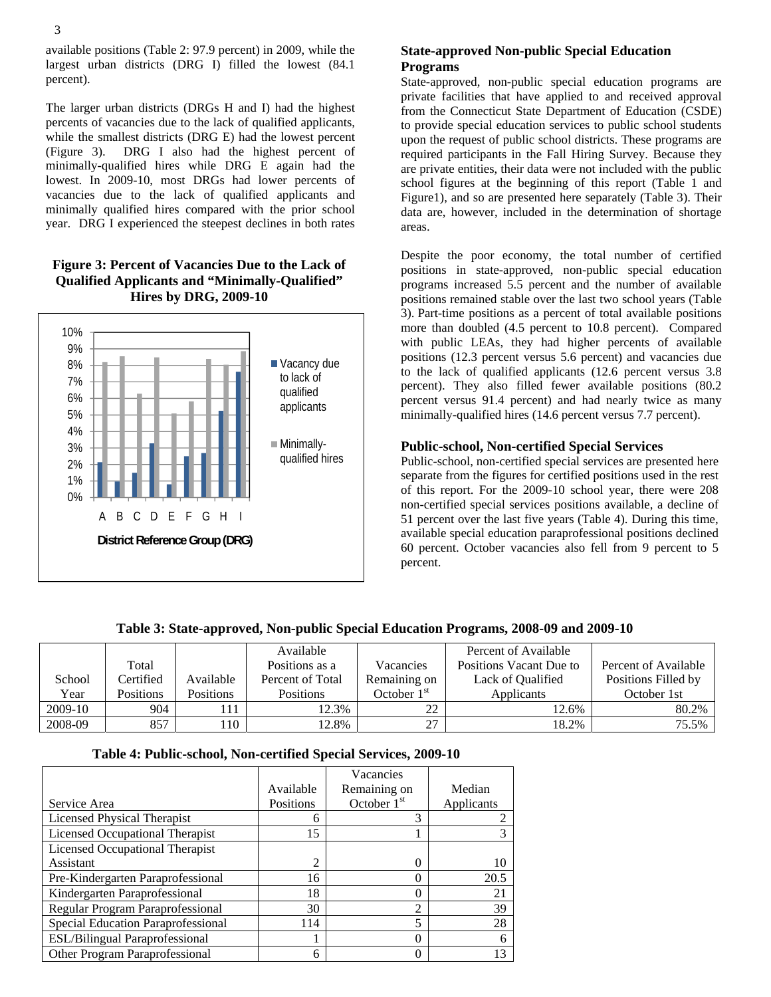3

The larger urban districts (DRGs H and I) had the highest percents of vacancies due to the lack of qualified applicants, while the smallest districts (DRG E) had the lowest percent (Figure 3). DRG I also had the highest percent of minimally-qualified hires while DRG E again had the lowest. In 2009-10, most DRGs had lower percents of vacancies due to the lack of qualified applicants and minimally qualified hires compared with the prior school year. DRG I experienced the steepest declines in both rates

# **Figure 3: Percent of Vacancies Due to the Lack of Qualified Applicants and "Minimally-Qualified" Hires by DRG, 2009-10**



# **State-approved Non-public Special Education Programs**

State-approved, non-public special education programs are private facilities that have applied to and received approval from the Connecticut State Department of Education (CSDE) to provide special education services to public school students upon the request of public school districts. These programs are required participants in the Fall Hiring Survey. Because they are private entities, their data were not included with the public school figures at the beginning of this report (Table 1 and Figure1), and so are presented here separately (Table 3). Their data are, however, included in the determination of shortage areas.

Despite the poor economy, the total number of certified positions in state-approved, non-public special education programs increased 5.5 percent and the number of available positions remained stable over the last two school years (Table 3). Part-time positions as a percent of total available positions more than doubled (4.5 percent to 10.8 percent). Compared with public LEAs, they had higher percents of available positions (12.3 percent versus 5.6 percent) and vacancies due to the lack of qualified applicants (12.6 percent versus 3.8 percent). They also filled fewer available positions (80.2 percent versus 91.4 percent) and had nearly twice as many minimally-qualified hires (14.6 percent versus 7.7 percent).

## **Public-school, Non-certified Special Services**

Public-school, non-certified special services are presented here separate from the figures for certified positions used in the rest of this report. For the 2009-10 school year, there were 208 non-certified special services positions available, a decline of 51 percent over the last five years (Table 4). During this time, available special education paraprofessional positions declined 60 percent. October vacancies also fell from 9 percent to 5 percent.

|         |                  |                  | Available        |               | Percent of Available    |                      |
|---------|------------------|------------------|------------------|---------------|-------------------------|----------------------|
|         | Total            |                  | Positions as a   | Vacancies     | Positions Vacant Due to | Percent of Available |
| School  | Certified        | Available        | Percent of Total | Remaining on  | Lack of Qualified       | Positions Filled by  |
| Year    | <b>Positions</b> | <b>Positions</b> | <b>Positions</b> | October $1st$ | Applicants              | October 1st          |
| 2009-10 | 904              | 111              | 12.3%            | $\mathcal{D}$ | 12.6%                   | 80.2%                |
| 2008-09 | 857              | 110              | 12.8%            | າາ            | 18.2%                   | 75.5%                |

# **Table 3: State-approved, Non-public Special Education Programs, 2008-09 and 2009-10**

## **Table 4: Public-school, Non-certified Special Services, 2009-10**

|                                       |           | Vacancies      |            |
|---------------------------------------|-----------|----------------|------------|
|                                       | Available | Remaining on   | Median     |
| Service Area                          | Positions | October $1st$  | Applicants |
| Licensed Physical Therapist           | 6         | 3              |            |
| Licensed Occupational Therapist       | 15        |                |            |
| Licensed Occupational Therapist       |           |                |            |
| Assistant                             | 2         |                |            |
| Pre-Kindergarten Paraprofessional     | 16        | $\Omega$       | 20.5       |
| Kindergarten Paraprofessional         | 18        | 0              | 21         |
| Regular Program Paraprofessional      | 30        | $\overline{2}$ | 39         |
| Special Education Paraprofessional    | 114       | 5              | 28         |
| <b>ESL/Bilingual Paraprofessional</b> |           | $\Omega$       |            |
| Other Program Paraprofessional        | 6         | 0              |            |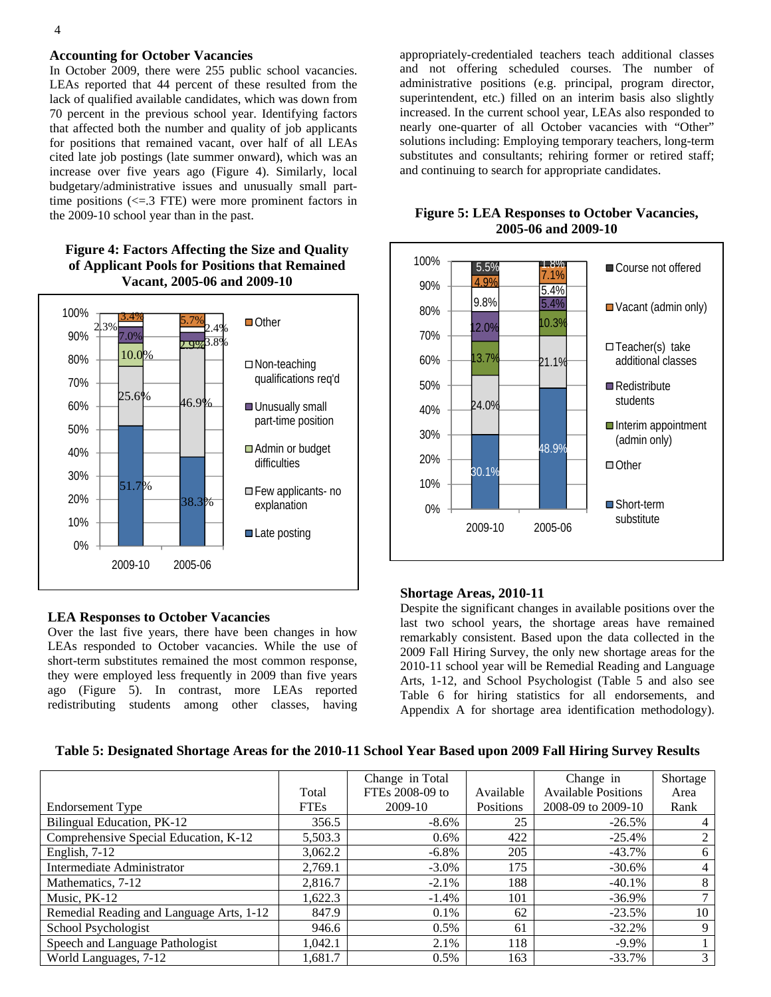#### 4

#### **Accounting for October Vacancies**

 for positions that remained vacant, over half of all LEAs In October 2009, there were 255 public school vacancies. LEAs reported that 44 percent of these resulted from the lack of qualified available candidates, which was down from 70 percent in the previous school year. Identifying factors that affected both the number and quality of job applicants cited late job postings (late summer onward), which was an increase over five years ago (Figure 4). Similarly, local budgetary/administrative issues and unusually small parttime positions  $\left(\leq 3$  FTE) were more prominent factors in the 2009-10 school year than in the past.

### **Figure 4: Factors Affecting the Size and Quality of Applicant Pools for Positions that Remained Vacant, 2005-06 and 2009-10**



#### **LEA Responses to October Vacancies**

Over the last five years, there have been changes in how LEAs responded to October vacancies. While the use of short-term substitutes remained the most common response, they were employed less frequently in 2009 than five years ago (Figure 5). In contrast, more LEAs reported redistributing students among other classes, having

appropriately-credentialed teachers teach additional classes and not offering scheduled courses. The number of administrative positions (e.g. principal, program director, superintendent, etc.) filled on an interim basis also slightly increased. In the current school year, LEAs also responded to nearly one-quarter of all October vacancies with "Other" solutions including: Employing temporary teachers, long-term substitutes and consultants; rehiring former or retired staff; and continuing to search for appropriate candidates.



#### **Figure 5: LEA Responses to October Vacancies, 2005-06 and 2009-10**

#### **Shortage Areas, 2010-11**

Despite the significant changes in available positions over the last two school years, the shortage areas have remained remarkably consistent. Based upon the data collected in the 2009 Fall Hiring Survey, the only new shortage areas for the 2010-11 school year will be Remedial Reading and Language Arts, 1-12, and School Psychologist (Table 5 and also see Table 6 for hiring statistics for all endorsements, and Appendix A for shortage area identification methodology).

|  |  |  | Table 5: Designated Shortage Areas for the 2010-11 School Year Based upon 2009 Fall Hiring Survey Results |  |
|--|--|--|-----------------------------------------------------------------------------------------------------------|--|
|  |  |  |                                                                                                           |  |

|                                          |             | Change in Total             |           | Change in                  | Shortage       |
|------------------------------------------|-------------|-----------------------------|-----------|----------------------------|----------------|
|                                          | Total       | FTE <sub>s</sub> 2008-09 to | Available | <b>Available Positions</b> | Area           |
| Endorsement Type                         | <b>FTEs</b> | 2009-10                     | Positions | 2008-09 to 2009-10         | Rank           |
| Bilingual Education, PK-12               | 356.5       | $-8.6\%$                    | 25        | $-26.5%$                   |                |
| Comprehensive Special Education, K-12    | 5,503.3     | $0.6\%$                     | 422       | $-25.4%$                   | 2              |
| English, 7-12                            | 3,062.2     | $-6.8\%$                    | 205       | $-43.7%$                   | 6              |
| Intermediate Administrator               | 2,769.1     | $-3.0\%$                    | 175       | $-30.6\%$                  | $\overline{4}$ |
| Mathematics, 7-12                        | 2,816.7     | $-2.1\%$                    | 188       | $-40.1%$                   | 8              |
| Music, PK-12                             | 1,622.3     | $-1.4\%$                    | 101       | $-36.9\%$                  | 7              |
| Remedial Reading and Language Arts, 1-12 | 847.9       | $0.1\%$                     | 62        | $-23.5%$                   | 10             |
| School Psychologist                      | 946.6       | $0.5\%$                     | 61        | $-32.2%$                   | 9              |
| Speech and Language Pathologist          | 1,042.1     | 2.1%                        | 118       | $-9.9\%$                   |                |
| World Languages, 7-12                    | 1,681.7     | $0.5\%$                     | 163       | $-33.7%$                   | 3              |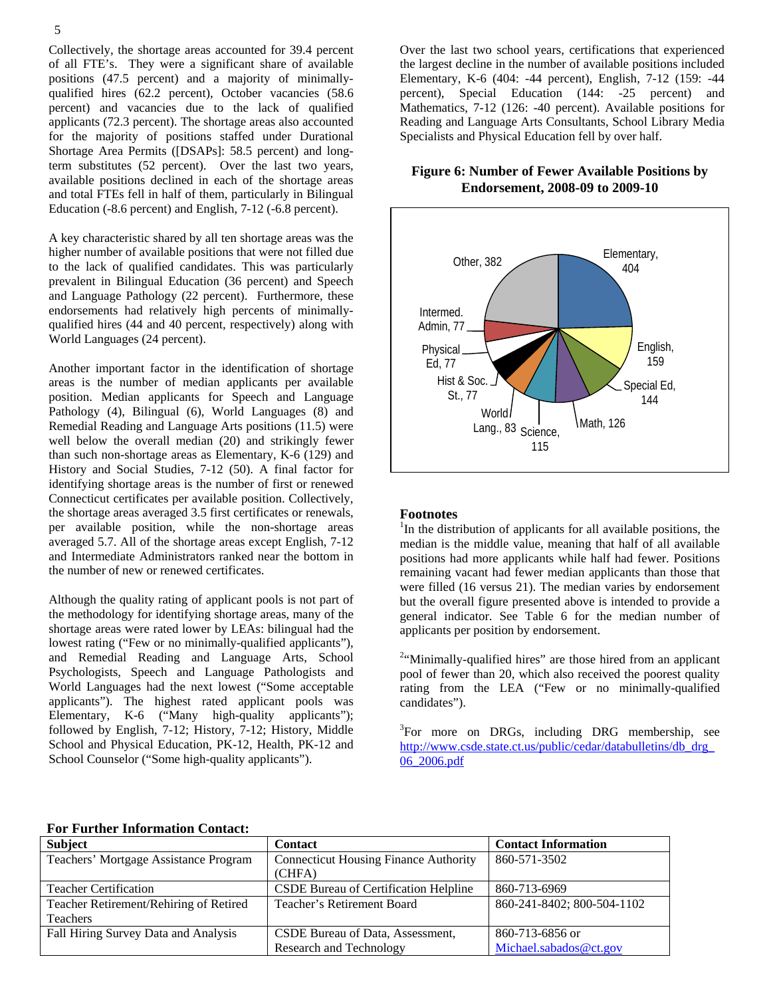Collectively, the shortage areas accounted for 39.4 percent of all FTE's. They were a significant share of available positions (47.5 percent) and a majority of minimallyqualified hires (62.2 percent), October vacancies (58.6 percent) and vacancies due to the lack of qualified applicants (72.3 percent). The shortage areas also accounted for the majority of positions staffed under Durational Shortage Area Permits ([DSAPs]: 58.5 percent) and longterm substitutes (52 percent). Over the last two years, available positions declined in each of the shortage areas and total FTEs fell in half of them, particularly in Bilingual Education (-8.6 percent) and English, 7-12 (-6.8 percent).

A key characteristic shared by all ten shortage areas was the higher number of available positions that were not filled due to the lack of qualified candidates. This was particularly prevalent in Bilingual Education (36 percent) and Speech and Language Pathology (22 percent). Furthermore, these endorsements had relatively high percents of minimallyqualified hires (44 and 40 percent, respectively) along with World Languages (24 percent).

Another important factor in the identification of shortage areas is the number of median applicants per available position. Median applicants for Speech and Language Pathology (4), Bilingual (6), World Languages (8) and Remedial Reading and Language Arts positions (11.5) were well below the overall median (20) and strikingly fewer than such non-shortage areas as Elementary, K-6 (129) and History and Social Studies, 7-12 (50). A final factor for identifying shortage areas is the number of first or renewed Connecticut certificates per available position. Collectively, the shortage areas averaged 3.5 first certificates or renewals, per available position, while the non-shortage areas averaged 5.7. All of the shortage areas except English, 7-12 and Intermediate Administrators ranked near the bottom in the number of new or renewed certificates.

Although the quality rating of applicant pools is not part of the methodology for identifying shortage areas, many of the shortage areas were rated lower by LEAs: bilingual had the lowest rating ("Few or no minimally-qualified applicants"), and Remedial Reading and Language Arts, School Psychologists, Speech and Language Pathologists and World Languages had the next lowest ("Some acceptable applicants"). The highest rated applicant pools was Elementary, K-6 ("Many high-quality applicants"); followed by English, 7-12; History, 7-12; History, Middle School and Physical Education, PK-12, Health, PK-12 and School Counselor ("Some high-quality applicants").

Over the last two school years, certifications that experienced the largest decline in the number of available positions included Elementary, K-6 (404: -44 percent), English, 7-12 (159: -44 percent), Special Education (144: -25 percent) and Mathematics, 7-12 (126: -40 percent). Available positions for Reading and Language Arts Consultants, School Library Media Specialists and Physical Education fell by over half.

## **Figure 6: Number of Fewer Available Positions by Endorsement, 2008-09 to 2009-10**



#### **Footnotes**

<sup>1</sup>In the distribution of applicants for all available positions, the median is the middle value, meaning that half of all available positions had more applicants while half had fewer. Positions remaining vacant had fewer median applicants than those that were filled (16 versus 21). The median varies by endorsement but the overall figure presented above is intended to provide a general indicator. See Table 6 for the median number of applicants per position by endorsement.

<sup>2</sup>"Minimally-qualified hires" are those hired from an applicant pool of fewer than 20, which also received the poorest quality rating from the LEA ("Few or no minimally-qualified candidates").

<sup>3</sup>For more on DRGs, including DRG membership, see http://www.csde.state.ct.us/public/cedar/databulletins/db\_drg 06\_2006.pdf

#### **For Further Information Contact:**

| <b>Subject</b>                         | <b>Contact</b>                               | <b>Contact Information</b> |
|----------------------------------------|----------------------------------------------|----------------------------|
| Teachers' Mortgage Assistance Program  | <b>Connecticut Housing Finance Authority</b> | 860-571-3502               |
|                                        | (CHFA)                                       |                            |
| <b>Teacher Certification</b>           | CSDE Bureau of Certification Helpline        | 860-713-6969               |
| Teacher Retirement/Rehiring of Retired | Teacher's Retirement Board                   | 860-241-8402; 800-504-1102 |
| Teachers                               |                                              |                            |
| Fall Hiring Survey Data and Analysis   | CSDE Bureau of Data, Assessment,             | 860-713-6856 or            |
|                                        | Research and Technology                      | Michael.sabados@ct.gov     |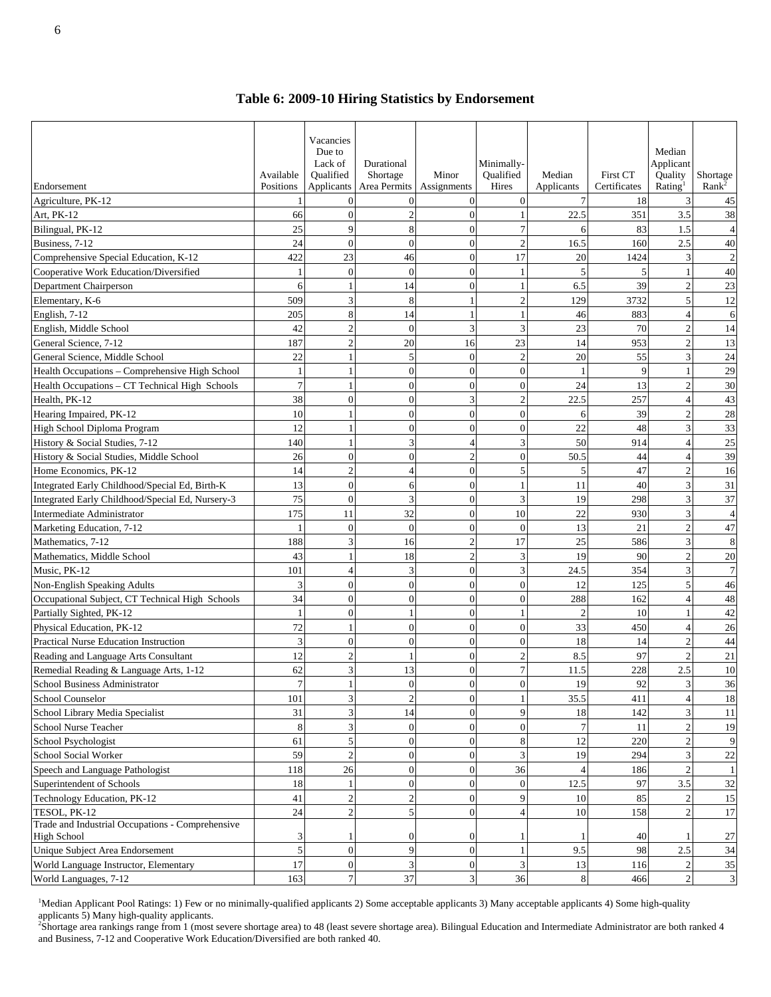**Table 6: 2009-10 Hiring Statistics by Endorsement**

| Endorsement                                      | Available<br>Positions | Vacancies<br>Due to<br>Lack of<br>Oualified<br>Applicants | Durational<br>Shortage<br>Area Permits | Minor<br>Assignments     | Minimally-<br>Oualified<br>Hires | Median<br>Applicants | <b>First CT</b><br>Certificates | Median<br>Applicant<br>Quality<br>Rating <sup>1</sup> | Shortage<br>Rank <sup>2</sup> |
|--------------------------------------------------|------------------------|-----------------------------------------------------------|----------------------------------------|--------------------------|----------------------------------|----------------------|---------------------------------|-------------------------------------------------------|-------------------------------|
| Agriculture, PK-12                               | $\mathbf{1}$           |                                                           | $\overline{0}$                         | $\theta$                 | $\overline{0}$                   | $\overline{7}$       | 18                              | 3                                                     | 45                            |
| Art, PK-12                                       | 66                     | $\theta$                                                  | $\overline{c}$                         | $\theta$                 |                                  | 22.5                 | 351                             | 3.5                                                   | 38                            |
| Bilingual, PK-12                                 | 25                     | $\mathbf Q$                                               | 8                                      | $\overline{0}$           | $\tau$                           | 6                    | 83                              | 1.5                                                   | $\overline{4}$                |
| Business, 7-12                                   | 24                     | $\Omega$                                                  | $\mathbf{0}$                           | $\Omega$                 | $\overline{c}$                   | 16.5                 | 160                             | 2.5                                                   | 40                            |
| Comprehensive Special Education, K-12            | 422                    | 23                                                        | 46                                     | $\theta$                 | 17                               | 20                   | 1424                            | 3                                                     | $\overline{2}$                |
| Cooperative Work Education/Diversified           | 1                      | $\Omega$                                                  | $\mathbf{0}$                           | $\theta$                 |                                  | 5                    | 5                               |                                                       | 40                            |
| Department Chairperson                           | 6                      |                                                           | 14                                     | $\theta$                 |                                  | 6.5                  | 39                              | $\overline{2}$                                        | 23                            |
| Elementary, K-6                                  | 509                    | 3                                                         | 8                                      |                          | $\overline{2}$                   | 129                  | 3732                            | 5                                                     | 12                            |
| English, 7-12                                    | 205                    | 8                                                         | 14                                     |                          |                                  | 46                   | 883                             | $\overline{4}$                                        | 6                             |
| English, Middle School                           | 42                     |                                                           | $\Omega$                               | $\mathbf{3}$             | $\overline{3}$                   | 23                   | 70                              | $\overline{2}$                                        | 14                            |
| General Science, 7-12                            | 187                    | $\overline{2}$                                            | 20                                     | 16                       | 23                               | 14                   | 953                             | $\overline{2}$                                        | 13                            |
| General Science, Middle School                   | 22                     |                                                           | $\sqrt{5}$                             | $\overline{0}$           | $\overline{c}$                   | 20                   | 55                              | 3                                                     | 24                            |
| Health Occupations - Comprehensive High School   | $\mathbf{1}$           |                                                           | $\mathbf{0}$                           | $\Omega$                 | $\overline{0}$                   | $\mathbf{1}$         | 9                               | -1                                                    | 29                            |
| Health Occupations - CT Technical High Schools   | $\overline{7}$         |                                                           | $\mathbf{0}$                           | $\theta$                 | $\overline{0}$                   | 24                   | 13                              | $\overline{2}$                                        | 30                            |
| Health, PK-12                                    | 38                     | $\theta$                                                  | $\mathbf{0}$                           | 3                        | $\sqrt{2}$                       | 22.5                 | 257                             | $\overline{4}$                                        | 43                            |
| Hearing Impaired, PK-12                          | 10                     |                                                           | $\mathbf{0}$                           | $\mathbf{0}$             | $\overline{0}$                   | 6                    | 39                              | $\overline{2}$                                        | 28                            |
| High School Diploma Program                      | 12                     |                                                           | $\overline{0}$                         | $\Omega$                 | $\overline{0}$                   | 22                   | 48                              | 3                                                     | 33                            |
| History & Social Studies, 7-12                   | 140                    |                                                           | $\overline{3}$                         | $\boldsymbol{\varDelta}$ | 3                                | 50                   | 914                             | $\overline{A}$                                        | 25                            |
| History & Social Studies, Middle School          | 26                     | $\theta$                                                  | $\overline{0}$                         | $\mathcal{D}$            | $\overline{0}$                   | 50.5                 | 44                              | $\Delta$                                              | 39                            |
| Home Economics, PK-12                            | 14                     | $\overline{2}$                                            | $\overline{4}$                         | $\overline{0}$           | 5                                | 5                    | 47                              | $\overline{c}$                                        | 16                            |
| Integrated Early Childhood/Special Ed, Birth-K   | 13                     | $\Omega$                                                  | 6                                      | $\Omega$                 | $\mathbf{1}$                     | 11                   | 40                              | 3                                                     | 31                            |
| Integrated Early Childhood/Special Ed, Nursery-3 | 75                     | $\Omega$                                                  | 3                                      | $\theta$                 | 3                                | 19                   | 298                             | 3                                                     | 37                            |
| Intermediate Administrator                       | 175                    | 11                                                        | 32                                     | $\theta$                 | 10                               | 22                   | 930                             | 3                                                     | $\overline{4}$                |
| Marketing Education, 7-12                        | 1                      | $\Omega$                                                  | $\mathbf{0}$                           | $\Omega$                 | $\overline{0}$                   | 13                   | 21                              | $\overline{2}$                                        | 47                            |
| Mathematics, 7-12                                | 188                    | 3                                                         | 16                                     | 2                        | 17                               | 25                   | 586                             | 3                                                     | 8                             |
| Mathematics, Middle School                       | 43                     |                                                           | 18                                     | $\mathcal{P}$            | 3                                | 19                   | 90                              | $\overline{2}$                                        | 20                            |
| Music, PK-12                                     | 101                    | $\Delta$                                                  | 3                                      | $\Omega$                 | 3                                | 24.5                 | 354                             | 3                                                     | $\overline{7}$                |
| Non-English Speaking Adults                      | 3                      | $\mathbf{0}$                                              | $\mathbf{0}$                           | $\theta$                 | $\boldsymbol{0}$                 | 12                   | 125                             | 5                                                     | 46                            |
| Occupational Subject, CT Technical High Schools  | 34                     | $\Omega$                                                  | $\boldsymbol{0}$                       | $\overline{0}$           | $\overline{0}$                   | 288                  | 162                             | $\overline{4}$                                        | 48                            |
| Partially Sighted, PK-12                         | 1                      | $\Omega$                                                  | $\mathbf{1}$                           | $\overline{0}$           | $\mathbf{1}$                     | $\overline{2}$       | 10                              | -1                                                    | 42                            |
| Physical Education, PK-12                        | 72                     |                                                           | $\mathbf{0}$                           | $\theta$                 | $\overline{0}$                   | 33                   | 450                             | $\overline{4}$                                        | 26                            |
| Practical Nurse Education Instruction            | 3                      | $\Omega$                                                  | $\mathbf{0}$                           | $\Omega$                 | $\overline{0}$                   | 18                   | 14                              | $\overline{c}$                                        | 44                            |
| Reading and Language Arts Consultant             | 12                     | $\overline{2}$                                            | $\mathbf{1}$                           | $\overline{0}$           | $\sqrt{2}$                       | 8.5                  | 97                              | $\overline{c}$                                        | 21                            |
| Remedial Reading & Language Arts, 1-12           | 62                     | 3                                                         | 13                                     | $\Omega$                 | $\overline{7}$                   | 11.5                 | 228                             | 2.5                                                   | 10                            |
| School Business Administrator                    | $\boldsymbol{7}$       | 1                                                         | $\boldsymbol{0}$                       | <sub>U</sub>             | $\overline{0}$                   | 19                   | 92                              | 3                                                     | 36                            |
| School Counselor                                 | 101                    | 3                                                         | $\overline{c}$                         | $\overline{0}$           |                                  | 35.5                 | 411                             |                                                       | 18                            |
| School Library Media Specialist                  | 31                     |                                                           | 14                                     | $\overline{0}$           | 9                                | 18                   | 142                             |                                                       | 11                            |
| School Nurse Teacher                             | 8                      |                                                           | $\boldsymbol{0}$                       | $\Omega$                 | $\overline{0}$                   | $\overline{7}$       | 11                              |                                                       | 19                            |
| School Psychologist                              | 61                     | 5                                                         | $\boldsymbol{0}$                       | $\Omega$                 | 8                                | 12                   | 220                             |                                                       | 9                             |
| School Social Worker                             | 59                     |                                                           | $\boldsymbol{0}$                       | $\theta$                 | 3                                | 19                   | 294                             | 3                                                     | 22                            |
| Speech and Language Pathologist                  | 118                    | 26                                                        | $\boldsymbol{0}$                       | $\theta$                 | 36                               | $\overline{4}$       | 186                             |                                                       | $\mathbf{1}$                  |
| Superintendent of Schools                        | 18                     |                                                           | $\boldsymbol{0}$                       | $\mathbf{0}$             | $\boldsymbol{0}$                 | 12.5                 | 97                              | $3.5\,$                                               | 32                            |
| Technology Education, PK-12                      | 41                     |                                                           | $\overline{c}$                         | $\overline{0}$           | 9                                | 10                   | 85                              |                                                       | 15                            |
| TESOL, PK-12                                     | 24                     | $\overline{c}$                                            | $\mathfrak{S}$                         | $\theta$                 | $\overline{4}$                   | 10                   | 158                             |                                                       | 17                            |
| Trade and Industrial Occupations - Comprehensive |                        |                                                           |                                        |                          |                                  |                      |                                 |                                                       |                               |
| <b>High School</b>                               | 3                      |                                                           | $\mathbf{0}$                           | $\mathbf{0}$             |                                  |                      | 40                              |                                                       | 27                            |
| Unique Subject Area Endorsement                  | 5                      | $\mathbf{0}$                                              | 9                                      | $\overline{0}$           |                                  | 9.5                  | 98                              | 2.5                                                   | 34                            |
| World Language Instructor, Elementary            | 17                     | $\mathbf{0}$                                              | $\overline{3}$                         | $\overline{0}$           | 3                                | 13                   | 116                             |                                                       | 35                            |
| World Languages, 7-12                            | 163                    | $\tau$                                                    | 37                                     | 3                        | 36                               | $\bf 8$              | 466                             | $\overline{2}$                                        | 3                             |

<sup>1</sup>Median Applicant Pool Ratings: 1) Few or no minimally-qualified applicants 2) Some acceptable applicants 3) Many acceptable applicants 4) Some high-quality applicants 5) Many high-quality applicants.<br><sup>2</sup>Shortage area rankings range from 1 (most severe shortage area) to 48 (least severe shortage area). Bilingual Education and Intermediate Administrator are both ranked 4

and Business, 7-12 and Cooperative Work Education/Diversified are both ranked 40.